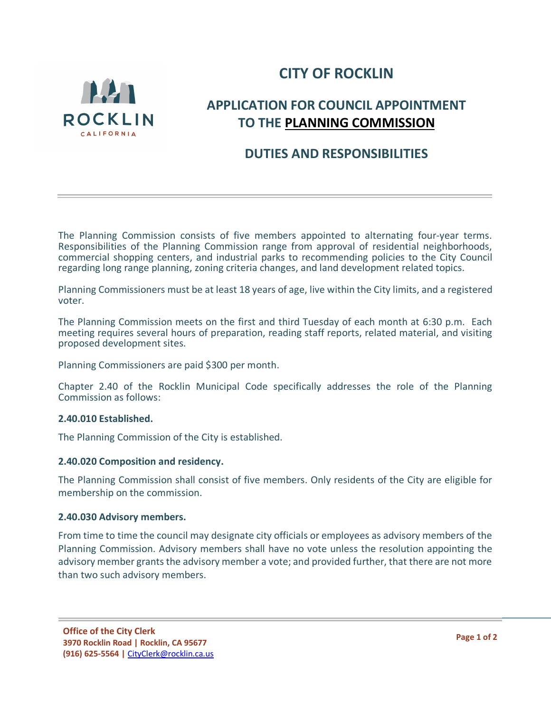



# **APPLICATION FOR COUNCIL APPOINTMENT TO THE PLANNING COMMISSION**

# **DUTIES AND RESPONSIBILITIES**

The Planning Commission consists of five members appointed to alternating four-year terms. Responsibilities of the Planning Commission range from approval of residential neighborhoods, commercial shopping centers, and industrial parks to recommending policies to the City Council regarding long range planning, zoning criteria changes, and land development related topics.

Planning Commissioners must be at least 18 years of age, live within the City limits, and a registered voter.

The Planning Commission meets on the first and third Tuesday of each month at 6:30 p.m. Each meeting requires several hours of preparation, reading staff reports, related material, and visiting proposed development sites.

Planning Commissioners are paid \$300 per month.

Chapter 2.40 of the Rocklin Municipal Code specifically addresses the role of the Planning Commission as follows:

#### **2.40.010 Established.**

The Planning Commission of the City is established.

#### **2.40.020 Composition and residency.**

The Planning Commission shall consist of five members. Only residents of the City are eligible for membership on the commission.

#### **2.40.030 Advisory members.**

From time to time the council may designate city officials or employees as advisory members of the Planning Commission. Advisory members shall have no vote unless the resolution appointing the advisory member grants the advisory member a vote; and provided further, that there are not more than two such advisory members.